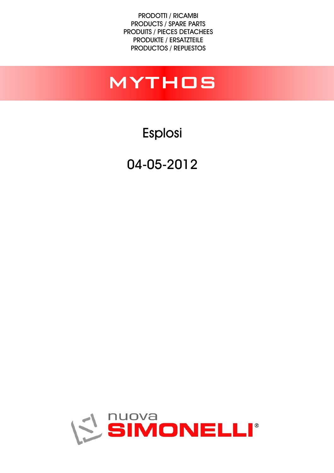PRODOTTI / RICAMBI PRODUCTS / SPARE PARTS PRODUITS / PIECES DETACHEES PRODUKTE / ERSATZTEILE PRODUCTOS / REPUESTOS

## mythos

Esplosi

04-05-2012

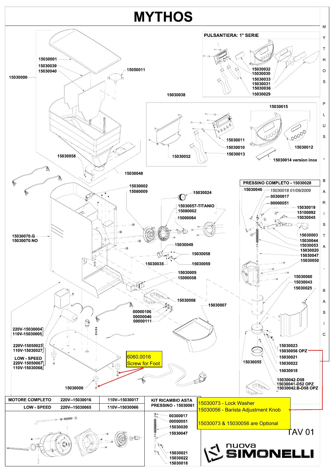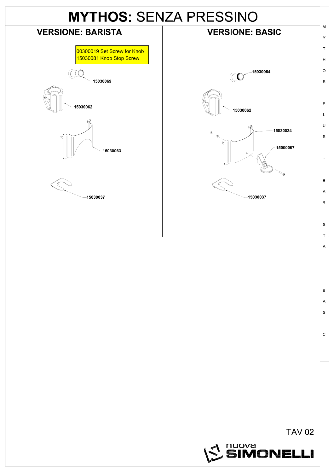